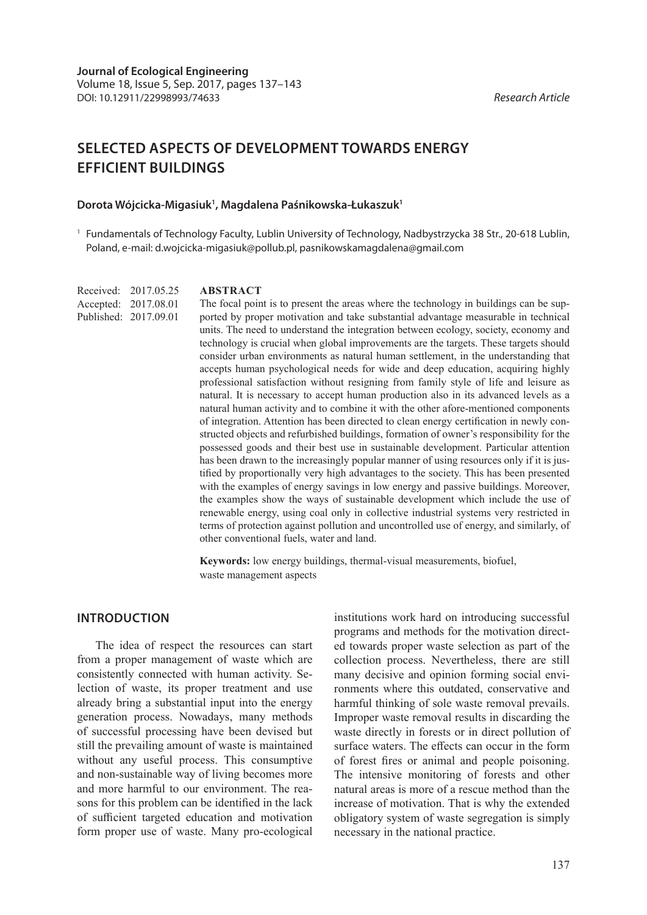# **SELECTED ASPECTS OF DEVELOPMENT TOWARDS ENERGY EFFICIENT BUILDINGS**

#### **Dorota Wójcicka-Migasiuk1 , Magdalena Paśnikowska-Łukaszuk1**

<sup>1</sup> Fundamentals of Technology Faculty, Lublin University of Technology, Nadbystrzycka 38 Str., 20-618 Lublin, Poland, e-mail: d.wojcicka-migasiuk@pollub.pl, pasnikowskamagdalena@gmail.com

Received: 2017.05.25 Accepted: 2017.08.01 Published: 2017.09.01

#### **ABSTRACT**

The focal point is to present the areas where the technology in buildings can be supported by proper motivation and take substantial advantage measurable in technical units. The need to understand the integration between ecology, society, economy and technology is crucial when global improvements are the targets. These targets should consider urban environments as natural human settlement, in the understanding that accepts human psychological needs for wide and deep education, acquiring highly professional satisfaction without resigning from family style of life and leisure as natural. It is necessary to accept human production also in its advanced levels as a natural human activity and to combine it with the other afore-mentioned components of integration. Attention has been directed to clean energy certification in newly constructed objects and refurbished buildings, formation of owner's responsibility for the possessed goods and their best use in sustainable development. Particular attention has been drawn to the increasingly popular manner of using resources only if it is justified by proportionally very high advantages to the society. This has been presented with the examples of energy savings in low energy and passive buildings. Moreover, the examples show the ways of sustainable development which include the use of renewable energy, using coal only in collective industrial systems very restricted in terms of protection against pollution and uncontrolled use of energy, and similarly, of other conventional fuels, water and land.

**Keywords:** low energy buildings, thermal-visual measurements, biofuel, waste management aspects

### **INTRODUCTION**

The idea of respect the resources can start from a proper management of waste which are consistently connected with human activity. Selection of waste, its proper treatment and use already bring a substantial input into the energy generation process. Nowadays, many methods of successful processing have been devised but still the prevailing amount of waste is maintained without any useful process. This consumptive and non-sustainable way of living becomes more and more harmful to our environment. The reasons for this problem can be identified in the lack of sufficient targeted education and motivation form proper use of waste. Many pro-ecological

institutions work hard on introducing successful programs and methods for the motivation directed towards proper waste selection as part of the collection process. Nevertheless, there are still many decisive and opinion forming social environments where this outdated, conservative and harmful thinking of sole waste removal prevails. Improper waste removal results in discarding the waste directly in forests or in direct pollution of surface waters. The effects can occur in the form of forest fires or animal and people poisoning. The intensive monitoring of forests and other natural areas is more of a rescue method than the increase of motivation. That is why the extended obligatory system of waste segregation is simply necessary in the national practice.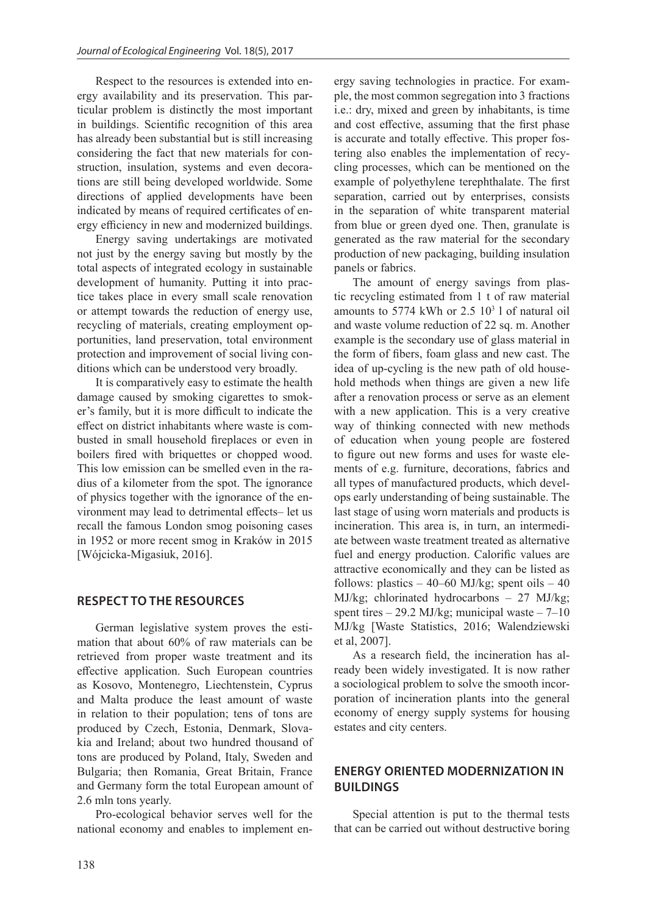Respect to the resources is extended into energy availability and its preservation. This particular problem is distinctly the most important in buildings. Scientific recognition of this area has already been substantial but is still increasing considering the fact that new materials for construction, insulation, systems and even decorations are still being developed worldwide. Some directions of applied developments have been indicated by means of required certificates of energy efficiency in new and modernized buildings.

Energy saving undertakings are motivated not just by the energy saving but mostly by the total aspects of integrated ecology in sustainable development of humanity. Putting it into practice takes place in every small scale renovation or attempt towards the reduction of energy use, recycling of materials, creating employment opportunities, land preservation, total environment protection and improvement of social living conditions which can be understood very broadly.

It is comparatively easy to estimate the health damage caused by smoking cigarettes to smoker's family, but it is more difficult to indicate the effect on district inhabitants where waste is combusted in small household fireplaces or even in boilers fired with briquettes or chopped wood. This low emission can be smelled even in the radius of a kilometer from the spot. The ignorance of physics together with the ignorance of the environment may lead to detrimental effects– let us recall the famous London smog poisoning cases in 1952 or more recent smog in Kraków in 2015 [Wójcicka-Migasiuk, 2016].

#### **RESPECT TO THE RESOURCES**

German legislative system proves the estimation that about 60% of raw materials can be retrieved from proper waste treatment and its effective application. Such European countries as Kosovo, Montenegro, Liechtenstein, Cyprus and Malta produce the least amount of waste in relation to their population; tens of tons are produced by Czech, Estonia, Denmark, Slovakia and Ireland; about two hundred thousand of tons are produced by Poland, Italy, Sweden and Bulgaria; then Romania, Great Britain, France and Germany form the total European amount of 2.6 mln tons yearly.

Pro-ecological behavior serves well for the national economy and enables to implement energy saving technologies in practice. For example, the most common segregation into 3 fractions i.e.: dry, mixed and green by inhabitants, is time and cost effective, assuming that the first phase is accurate and totally effective. This proper fostering also enables the implementation of recycling processes, which can be mentioned on the example of polyethylene terephthalate. The first separation, carried out by enterprises, consists in the separation of white transparent material from blue or green dyed one. Then, granulate is generated as the raw material for the secondary production of new packaging, building insulation panels or fabrics.

The amount of energy savings from plastic recycling estimated from 1 t of raw material amounts to  $5774$  kWh or  $2.5 \, 10^3$  l of natural oil and waste volume reduction of 22 sq. m. Another example is the secondary use of glass material in the form of fibers, foam glass and new cast. The idea of up-cycling is the new path of old household methods when things are given a new life after a renovation process or serve as an element with a new application. This is a very creative way of thinking connected with new methods of education when young people are fostered to figure out new forms and uses for waste elements of e.g. furniture, decorations, fabrics and all types of manufactured products, which develops early understanding of being sustainable. The last stage of using worn materials and products is incineration. This area is, in turn, an intermediate between waste treatment treated as alternative fuel and energy production. Calorific values are attractive economically and they can be listed as follows: plastics  $-40-60$  MJ/kg; spent oils  $-40$ MJ/kg; chlorinated hydrocarbons – 27 MJ/kg; spent tires – 29.2 MJ/kg; municipal waste –  $7-10$ MJ/kg [Waste Statistics, 2016; Walendziewski et al, 2007].

As a research field, the incineration has already been widely investigated. It is now rather a sociological problem to solve the smooth incorporation of incineration plants into the general economy of energy supply systems for housing estates and city centers.

## **ENERGY ORIENTED MODERNIZATION IN BUILDINGS**

Special attention is put to the thermal tests that can be carried out without destructive boring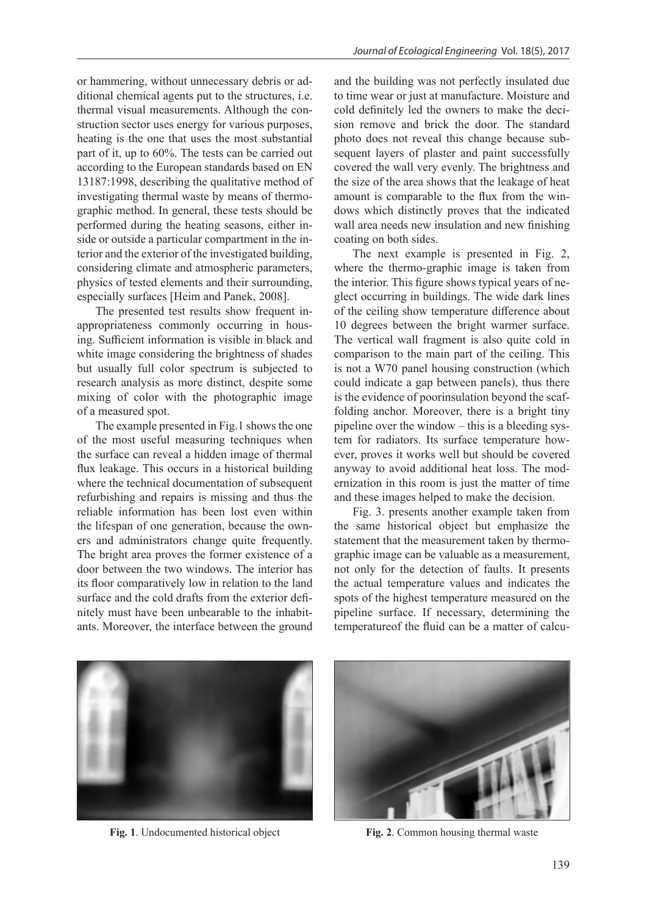or hammering, without unnecessary debris or additional chemical agents put to the structures, i.e. thermal visual measurements. Although the construction sector uses energy for various purposes, heating is the one that uses the most substantial part of it, up to 60%. The tests can be carried out according to the European standards based on EN 13187:1998, describing the qualitative method of investigating thermal waste by means of thermographic method. In general, these tests should be performed during the heating seasons, either inside or outside a particular compartment in the interior and the exterior of the investigated building, considering climate and atmospheric parameters, physics of tested elements and their surrounding, especially surfaces [Heim and Panek, 2008].

The presented test results show frequent inappropriateness commonly occurring in housing. Sufficient information is visible in black and white image considering the brightness of shades but usually full color spectrum is subjected to research analysis as more distinct, despite some mixing of color with the photographic image of a measured spot.

The example presented in Fig.1 shows the one of the most useful measuring techniques when the surface can reveal a hidden image of thermal flux leakage. This occurs in a historical building where the technical documentation of subsequent refurbishing and repairs is missing and thus the reliable information has been lost even within the lifespan of one generation, because the owners and administrators change quite frequently. The bright area proves the former existence of a door between the two windows. The interior has its floor comparatively low in relation to the land surface and the cold drafts from the exterior definitely must have been unbearable to the inhabitants. Moreover, the interface between the ground and the building was not perfectly insulated due to time wear or just at manufacture. Moisture and cold definitely led the owners to make the decision remove and brick the door. The standard photo does not reveal this change because subsequent layers of plaster and paint successfully covered the wall very evenly. The brightness and the size of the area shows that the leakage of heat amount is comparable to the flux from the windows which distinctly proves that the indicated wall area needs new insulation and new finishing coating on both sides.

The next example is presented in Fig. 2, where the thermo-graphic image is taken from the interior. This figure shows typical years of neglect occurring in buildings. The wide dark lines of the ceiling show temperature difference about 10 degrees between the bright warmer surface. The vertical wall fragment is also quite cold in comparison to the main part of the ceiling. This is not a W70 panel housing construction (which could indicate a gap between panels), thus there is the evidence of poorinsulation beyond the scaffolding anchor. Moreover, there is a bright tiny pipeline over the window – this is a bleeding system for radiators. Its surface temperature however, proves it works well but should be covered anyway to avoid additional heat loss. The modernization in this room is just the matter of time and these images helped to make the decision.

Fig. 3. presents another example taken from the same historical object but emphasize the statement that the measurement taken by thermographic image can be valuable as a measurement, not only for the detection of faults. It presents the actual temperature values and indicates the spots of the highest temperature measured on the pipeline surface. If necessary, determining the temperatureof the fluid can be a matter of calcu-





**Fig. 1**. Undocumented historical object **Fig. 2**. Common housing thermal waste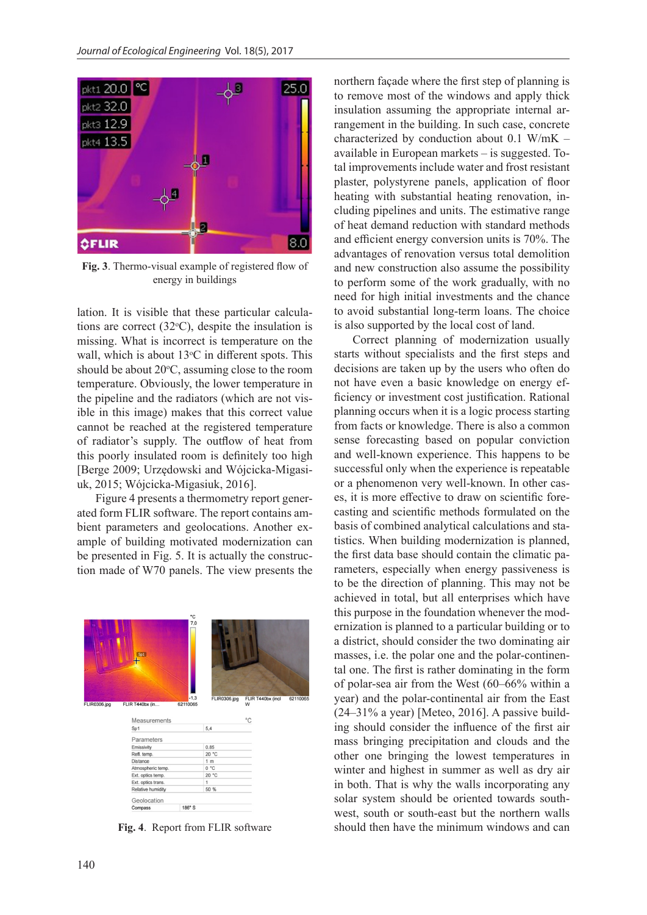

**Fig. 3**. Thermo-visual example of registered flow of energy in buildings

lation. It is visible that these particular calculations are correct  $(32^{\circ}C)$ , despite the insulation is missing. What is incorrect is temperature on the wall, which is about  $13^{\circ}$ C in different spots. This should be about  $20^{\circ}$ C, assuming close to the room temperature. Obviously, the lower temperature in the pipeline and the radiators (which are not visible in this image) makes that this correct value cannot be reached at the registered temperature of radiator's supply. The outflow of heat from this poorly insulated room is definitely too high [Berge 2009; Urzędowski and Wójcicka-Migasiuk, 2015; Wójcicka-Migasiuk, 2016].

Figure 4 presents a thermometry report generated form FLIR software. The report contains ambient parameters and geolocations. Another example of building motivated modernization can be presented in Fig. 5. It is actually the construction made of W70 panels. The view presents the

| 7,0<br>Sp1<br>$\pm$<br>$-1.3$<br>FLIR0306.jpg<br>FLIR T440bx (incl<br>62110065<br>FLIR0306.jpg<br>FLIR T440bx (in<br>62110065<br>W<br>$^{\circ}$ C<br><b>Measurements</b><br>5.4<br>Sp1<br>Parameters<br>0.85<br>Emissivity<br>20 °C<br>Refl. temp.<br>Distance<br>1 <sub>m</sub><br>0 °C<br>Atmospheric temp.<br>20 °C<br>Ext. optics temp.<br>Ext. optics trans.<br>1<br>50 %<br>Relative humidity<br>Geolocation |  |         | ۰c     |  |  |
|---------------------------------------------------------------------------------------------------------------------------------------------------------------------------------------------------------------------------------------------------------------------------------------------------------------------------------------------------------------------------------------------------------------------|--|---------|--------|--|--|
|                                                                                                                                                                                                                                                                                                                                                                                                                     |  |         |        |  |  |
|                                                                                                                                                                                                                                                                                                                                                                                                                     |  |         |        |  |  |
|                                                                                                                                                                                                                                                                                                                                                                                                                     |  |         |        |  |  |
|                                                                                                                                                                                                                                                                                                                                                                                                                     |  |         |        |  |  |
|                                                                                                                                                                                                                                                                                                                                                                                                                     |  |         |        |  |  |
|                                                                                                                                                                                                                                                                                                                                                                                                                     |  |         |        |  |  |
|                                                                                                                                                                                                                                                                                                                                                                                                                     |  |         |        |  |  |
|                                                                                                                                                                                                                                                                                                                                                                                                                     |  |         |        |  |  |
|                                                                                                                                                                                                                                                                                                                                                                                                                     |  |         |        |  |  |
|                                                                                                                                                                                                                                                                                                                                                                                                                     |  |         |        |  |  |
|                                                                                                                                                                                                                                                                                                                                                                                                                     |  |         |        |  |  |
|                                                                                                                                                                                                                                                                                                                                                                                                                     |  |         |        |  |  |
|                                                                                                                                                                                                                                                                                                                                                                                                                     |  |         |        |  |  |
|                                                                                                                                                                                                                                                                                                                                                                                                                     |  |         |        |  |  |
|                                                                                                                                                                                                                                                                                                                                                                                                                     |  | Compass | 186° S |  |  |

**Fig. 4**. Report from FLIR software

northern façade where the first step of planning is to remove most of the windows and apply thick insulation assuming the appropriate internal arrangement in the building. In such case, concrete characterized by conduction about 0.1 W/mK – available in European markets – is suggested. Total improvements include water and frost resistant plaster, polystyrene panels, application of floor heating with substantial heating renovation, including pipelines and units. The estimative range of heat demand reduction with standard methods and efficient energy conversion units is 70%. The advantages of renovation versus total demolition and new construction also assume the possibility to perform some of the work gradually, with no need for high initial investments and the chance to avoid substantial long-term loans. The choice is also supported by the local cost of land.

Correct planning of modernization usually starts without specialists and the first steps and decisions are taken up by the users who often do not have even a basic knowledge on energy efficiency or investment cost justification. Rational planning occurs when it is a logic process starting from facts or knowledge. There is also a common sense forecasting based on popular conviction and well-known experience. This happens to be successful only when the experience is repeatable or a phenomenon very well-known. In other cases, it is more effective to draw on scientific forecasting and scientific methods formulated on the basis of combined analytical calculations and statistics. When building modernization is planned, the first data base should contain the climatic parameters, especially when energy passiveness is to be the direction of planning. This may not be achieved in total, but all enterprises which have this purpose in the foundation whenever the modernization is planned to a particular building or to a district, should consider the two dominating air masses, i.e. the polar one and the polar-continental one. The first is rather dominating in the form of polar-sea air from the West (60–66% within a year) and the polar-continental air from the East (24–31% a year) [Meteo, 2016]. A passive building should consider the influence of the first air mass bringing precipitation and clouds and the other one bringing the lowest temperatures in winter and highest in summer as well as dry air in both. That is why the walls incorporating any solar system should be oriented towards southwest, south or south-east but the northern walls should then have the minimum windows and can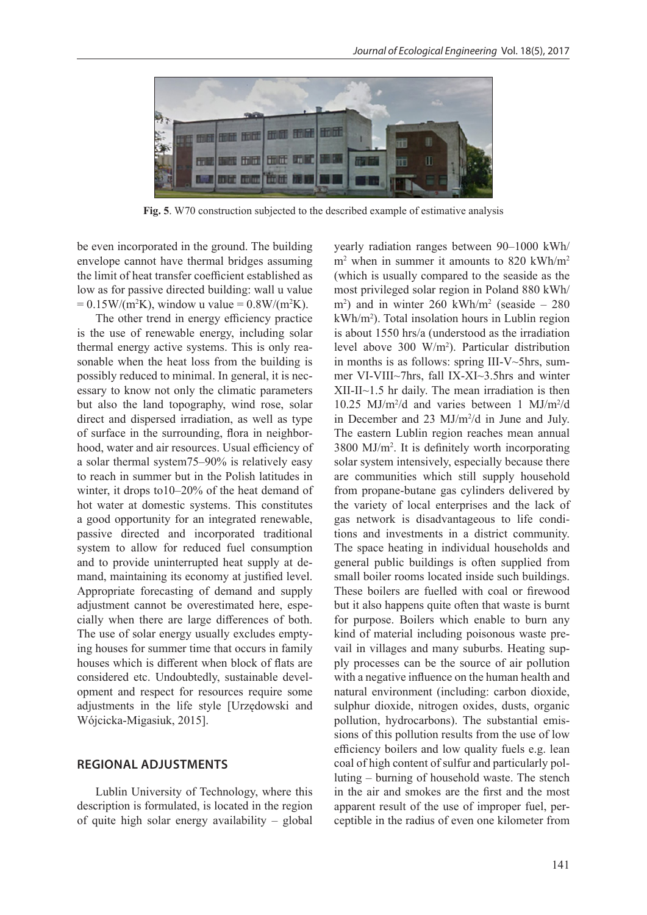

**Fig. 5**. W70 construction subjected to the described example of estimative analysis

be even incorporated in the ground. The building envelope cannot have thermal bridges assuming the limit of heat transfer coefficient established as low as for passive directed building: wall u value  $= 0.15 W/(m^2 K)$ , window u value  $= 0.8 W/(m^2 K)$ .

The other trend in energy efficiency practice is the use of renewable energy, including solar thermal energy active systems. This is only reasonable when the heat loss from the building is possibly reduced to minimal. In general, it is necessary to know not only the climatic parameters but also the land topography, wind rose, solar direct and dispersed irradiation, as well as type of surface in the surrounding, flora in neighborhood, water and air resources. Usual efficiency of a solar thermal system75–90% is relatively easy to reach in summer but in the Polish latitudes in winter, it drops to10–20% of the heat demand of hot water at domestic systems. This constitutes a good opportunity for an integrated renewable, passive directed and incorporated traditional system to allow for reduced fuel consumption and to provide uninterrupted heat supply at demand, maintaining its economy at justified level. Appropriate forecasting of demand and supply adjustment cannot be overestimated here, especially when there are large differences of both. The use of solar energy usually excludes emptying houses for summer time that occurs in family houses which is different when block of flats are considered etc. Undoubtedly, sustainable development and respect for resources require some adjustments in the life style [Urzędowski and Wójcicka-Migasiuk, 2015].

#### **REGIONAL ADJUSTMENTS**

Lublin University of Technology, where this description is formulated, is located in the region of quite high solar energy availability – global yearly radiation ranges between 90–1000 kWh/ m<sup>2</sup> when in summer it amounts to 820 kWh/m<sup>2</sup> (which is usually compared to the seaside as the most privileged solar region in Poland 880 kWh/  $m<sup>2</sup>$ ) and in winter 260 kWh/m<sup>2</sup> (seaside  $-280$ kWh/m<sup>2</sup> ). Total insolation hours in Lublin region is about 1550 hrs/a (understood as the irradiation level above 300 W/m<sup>2</sup> ). Particular distribution in months is as follows: spring III-V~5hrs, summer VI-VIII~7hrs, fall IX-XI~3.5hrs and winter XII-II~1.5 hr daily. The mean irradiation is then 10.25 MJ/m<sup>2</sup>/d and varies between 1 MJ/m<sup>2</sup>/d in December and 23 MJ/m<sup>2</sup>/d in June and July. The eastern Lublin region reaches mean annual 3800 MJ/m<sup>2</sup> . It is definitely worth incorporating solar system intensively, especially because there are communities which still supply household from propane-butane gas cylinders delivered by the variety of local enterprises and the lack of gas network is disadvantageous to life conditions and investments in a district community. The space heating in individual households and general public buildings is often supplied from small boiler rooms located inside such buildings. These boilers are fuelled with coal or firewood but it also happens quite often that waste is burnt for purpose. Boilers which enable to burn any kind of material including poisonous waste prevail in villages and many suburbs. Heating supply processes can be the source of air pollution with a negative influence on the human health and natural environment (including: carbon dioxide, sulphur dioxide, nitrogen oxides, dusts, organic pollution, hydrocarbons). The substantial emissions of this pollution results from the use of low efficiency boilers and low quality fuels e.g. lean coal of high content of sulfur and particularly polluting – burning of household waste. The stench in the air and smokes are the first and the most apparent result of the use of improper fuel, perceptible in the radius of even one kilometer from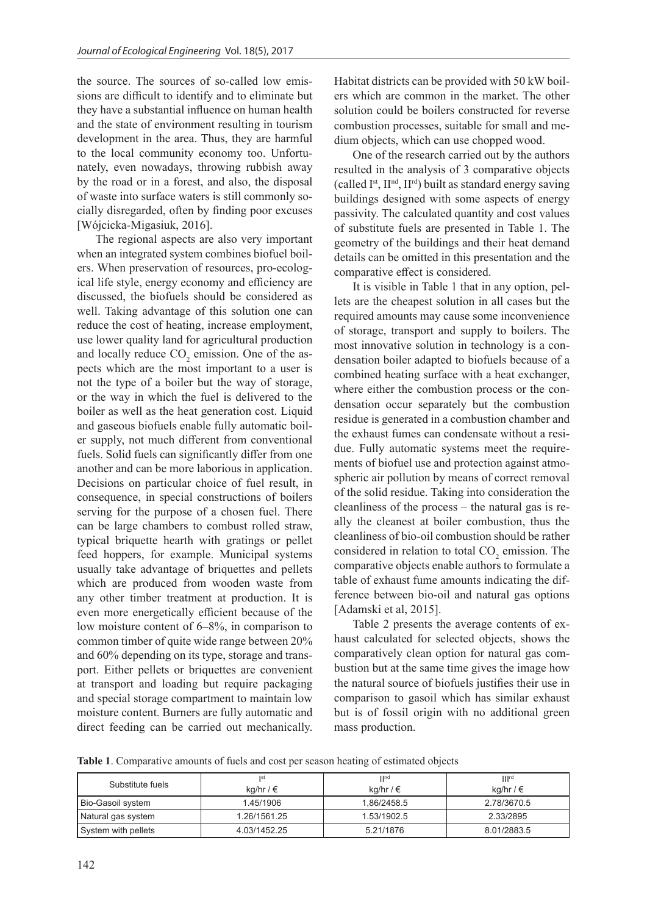the source. The sources of so-called low emissions are difficult to identify and to eliminate but they have a substantial influence on human health and the state of environment resulting in tourism development in the area. Thus, they are harmful to the local community economy too. Unfortunately, even nowadays, throwing rubbish away by the road or in a forest, and also, the disposal of waste into surface waters is still commonly socially disregarded, often by finding poor excuses [Wójcicka-Migasiuk, 2016].

The regional aspects are also very important when an integrated system combines biofuel boilers. When preservation of resources, pro-ecological life style, energy economy and efficiency are discussed, the biofuels should be considered as well. Taking advantage of this solution one can reduce the cost of heating, increase employment, use lower quality land for agricultural production and locally reduce  $CO_2$  emission. One of the aspects which are the most important to a user is not the type of a boiler but the way of storage, or the way in which the fuel is delivered to the boiler as well as the heat generation cost. Liquid and gaseous biofuels enable fully automatic boiler supply, not much different from conventional fuels. Solid fuels can significantly differ from one another and can be more laborious in application. Decisions on particular choice of fuel result, in consequence, in special constructions of boilers serving for the purpose of a chosen fuel. There can be large chambers to combust rolled straw, typical briquette hearth with gratings or pellet feed hoppers, for example. Municipal systems usually take advantage of briquettes and pellets which are produced from wooden waste from any other timber treatment at production. It is even more energetically efficient because of the low moisture content of 6–8%, in comparison to common timber of quite wide range between 20% and 60% depending on its type, storage and transport. Either pellets or briquettes are convenient at transport and loading but require packaging and special storage compartment to maintain low moisture content. Burners are fully automatic and direct feeding can be carried out mechanically.

Habitat districts can be provided with 50 kW boilers which are common in the market. The other solution could be boilers constructed for reverse combustion processes, suitable for small and medium objects, which can use chopped wood.

One of the research carried out by the authors resulted in the analysis of 3 comparative objects (called  $I^{\text{st}}$ ,  $II^{\text{nd}}$ ,  $II^{\text{rd}}$ ) built as standard energy saving buildings designed with some aspects of energy passivity. The calculated quantity and cost values of substitute fuels are presented in Table 1. The geometry of the buildings and their heat demand details can be omitted in this presentation and the comparative effect is considered.

It is visible in Table 1 that in any option, pellets are the cheapest solution in all cases but the required amounts may cause some inconvenience of storage, transport and supply to boilers. The most innovative solution in technology is a condensation boiler adapted to biofuels because of a combined heating surface with a heat exchanger, where either the combustion process or the condensation occur separately but the combustion residue is generated in a combustion chamber and the exhaust fumes can condensate without a residue. Fully automatic systems meet the requirements of biofuel use and protection against atmospheric air pollution by means of correct removal of the solid residue. Taking into consideration the cleanliness of the process – the natural gas is really the cleanest at boiler combustion, thus the cleanliness of bio-oil combustion should be rather considered in relation to total  $CO_2$  emission. The comparative objects enable authors to formulate a table of exhaust fume amounts indicating the difference between bio-oil and natural gas options [Adamski et al, 2015].

Table 2 presents the average contents of exhaust calculated for selected objects, shows the comparatively clean option for natural gas combustion but at the same time gives the image how the natural source of biofuels justifies their use in comparison to gasoil which has similar exhaust but is of fossil origin with no additional green mass production.

**Table 1**. Comparative amounts of fuels and cost per season heating of estimated objects

| Substitute fuels    | <b>Ist</b><br>kg/hr / € | $\prod$ nd<br>kg/hr / € | III <sup>rd</sup><br>kg/hr / € |  |
|---------------------|-------------------------|-------------------------|--------------------------------|--|
| Bio-Gasoil system   | 1.45/1906               | 1.86/2458.5             | 2.78/3670.5                    |  |
| Natural gas system  | 1.26/1561.25            | 1.53/1902.5             | 2.33/2895                      |  |
| System with pellets | 4.03/1452.25            | 5.21/1876               | 8.01/2883.5                    |  |